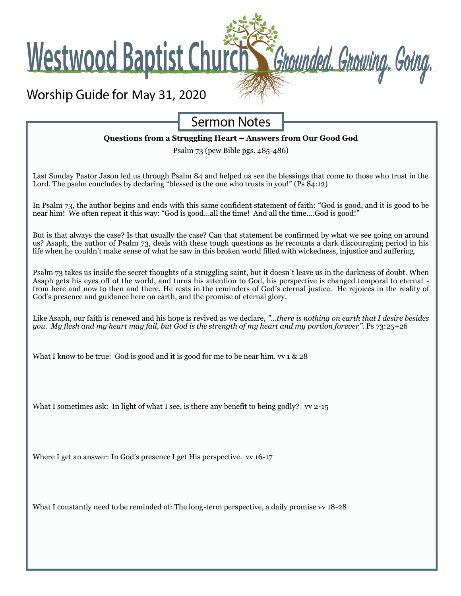Worship Guide for May 31, 2020

**Westwood Baptist Churg** 

**Sermon Notes** 

Grounded. Growing. Going.

#### **Questions from a Struggling Heart – Answers from Our Good God**

Psalm 73 (pew Bible pgs. 485-486)

Last Sunday Pastor Jason led us through Psalm 84 and helped us see the blessings that come to those who trust in the Lord. The psalm concludes by declaring "blessed is the one who trusts in you!" (Ps 84:12)

In Psalm 73, the author begins and ends with this same confident statement of faith: "God is good, and it is good to be near him! We often repeat it this way: "God is good…all the time! And all the time….God is good!"

But is that always the case? Is that usually the case? Can that statement be confirmed by what we see going on around us? Asaph, the author of Psalm 73, deals with these tough questions as he recounts a dark discouraging period in his life when he couldn't make sense of what he saw in this broken world filled with wickedness, injustice and suffering.

Psalm 73 takes us inside the secret thoughts of a struggling saint, but it doesn't leave us in the darkness of doubt. When Asaph gets his eyes off of the world, and turns his attention to God, his perspective is changed temporal to eternal from here and now to then and there. He rests in the reminders of God's eternal justice. He rejoices in the reality of God's presence and guidance here on earth, and the promise of eternal glory.

Like Asaph, our faith is renewed and his hope is revived as we declare, *"…there is nothing on earth that I desire besides you. My flesh and my heart may fail, but God is the strength of my heart and my portion forever".* Ps 73:25–26

What I know to be true: God is good and it is good for me to be near him. vv 1 & 28

What I sometimes ask: In light of what I see, is there any benefit to being godly? vv 2-15

Where I get an answer: In God's presence I get His perspective. vv 16-17

What I constantly need to be reminded of: The long-term perspective, a daily promise vv 18-28